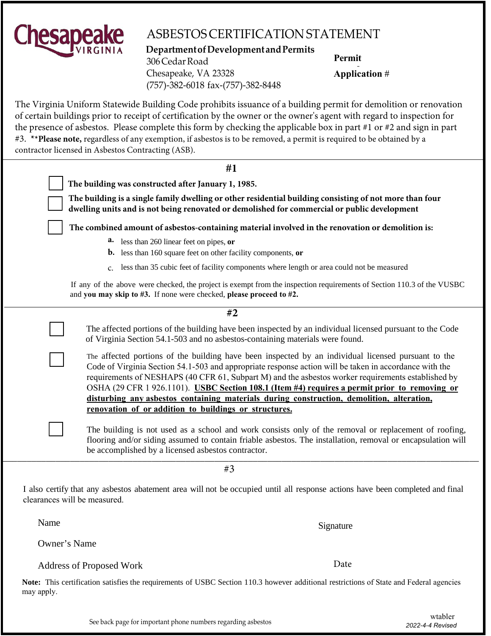

## ASBESTOS CERTIFICATION STATEMENT

**DepartmentofDevelopmentandPermits** 306CedarRoad Chesapeake, VA 23328 (757)-382-6018 fax-(757)-382-8448

**Permit**

**Application** #

The Virginia Uniform Statewide Building Code prohibits issuance of a building permit for demolition or renovation of certain buildings prior to receipt of certification by the owner or the owner's agent with regard to inspection for the presence of asbestos. Please complete this form by checking the applicable box in part #1 or #2 and sign in part #3. **\*\*Please note,** regardless of any exemption, if asbestos is to be removed, a permit is required to be obtained by a contractor licensed in Asbestos Contracting (ASB).

| #1                                                                                                                                                                                                                                                                                                                                                                                                                                                                                                                                                                         |  |  |
|----------------------------------------------------------------------------------------------------------------------------------------------------------------------------------------------------------------------------------------------------------------------------------------------------------------------------------------------------------------------------------------------------------------------------------------------------------------------------------------------------------------------------------------------------------------------------|--|--|
| The building was constructed after January 1, 1985.                                                                                                                                                                                                                                                                                                                                                                                                                                                                                                                        |  |  |
| The building is a single family dwelling or other residential building consisting of not more than four<br>dwelling units and is not being renovated or demolished for commercial or public development                                                                                                                                                                                                                                                                                                                                                                    |  |  |
| The combined amount of asbestos-containing material involved in the renovation or demolition is:                                                                                                                                                                                                                                                                                                                                                                                                                                                                           |  |  |
| <b>a.</b> less than 260 linear feet on pipes, or<br><b>b.</b> less than 160 square feet on other facility components, or                                                                                                                                                                                                                                                                                                                                                                                                                                                   |  |  |
| less than 35 cubic feet of facility components where length or area could not be measured<br>$C_{\star}$                                                                                                                                                                                                                                                                                                                                                                                                                                                                   |  |  |
| If any of the above were checked, the project is exempt from the inspection requirements of Section 110.3 of the VUSBC<br>and you may skip to #3. If none were checked, please proceed to #2.                                                                                                                                                                                                                                                                                                                                                                              |  |  |
| #2                                                                                                                                                                                                                                                                                                                                                                                                                                                                                                                                                                         |  |  |
| The affected portions of the building have been inspected by an individual licensed pursuant to the Code<br>of Virginia Section 54.1-503 and no asbestos-containing materials were found.                                                                                                                                                                                                                                                                                                                                                                                  |  |  |
| The affected portions of the building have been inspected by an individual licensed pursuant to the<br>Code of Virginia Section 54.1-503 and appropriate response action will be taken in accordance with the<br>requirements of NESHAPS (40 CFR 61, Subpart M) and the asbestos worker requirements established by<br>OSHA (29 CFR 1 926.1101). USBC Section 108.1 (Item #4) requires a permit prior to removing or<br>disturbing any asbestos containing materials during construction, demolition, alteration,<br>renovation of or addition to buildings or structures. |  |  |
| The building is not used as a school and work consists only of the removal or replacement of roofing,<br>flooring and/or siding assumed to contain friable asbestos. The installation, removal or encapsulation will<br>be accomplished by a licensed asbestos contractor.                                                                                                                                                                                                                                                                                                 |  |  |
| #3                                                                                                                                                                                                                                                                                                                                                                                                                                                                                                                                                                         |  |  |

I also certify that any asbestos abatement area will not be occupied until all response actions have been completed and final clearances will be measured.

Name Signature Signature

Owner's Name

Address of Proposed Work

**Note:** This certification satisfies the requirements of USBC Section 110.3 however additional restrictions of State and Federal agencies may apply.

Date